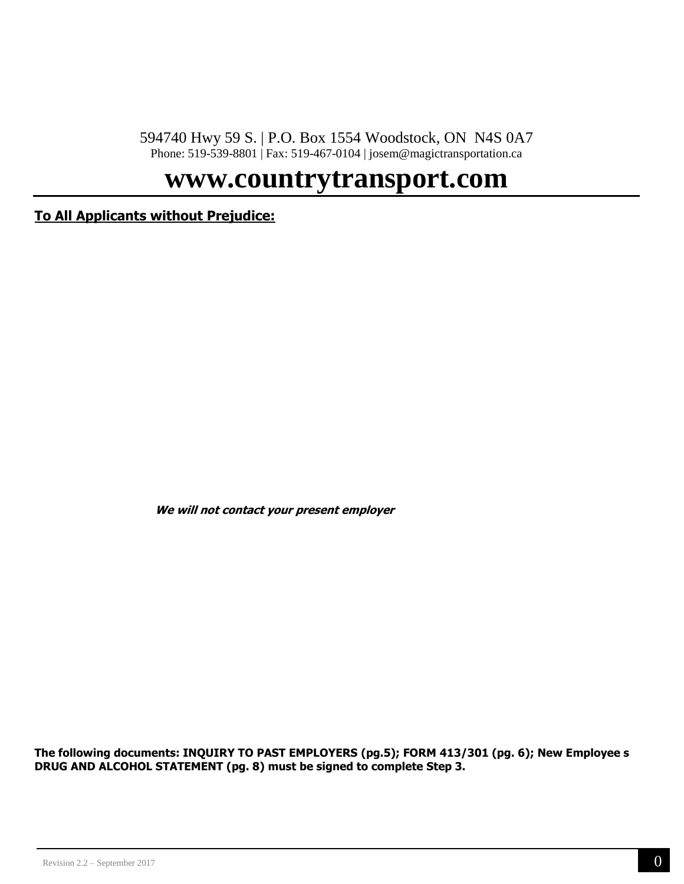594740 Hwy 59 S. | P.O. Box 1554 Woodstock, ON N4S 0A7 Phone: 519-539-8801 | Fax: 519-467-0104 | josem@magictransportation.ca

# **www.countrytransport.com**

#### **To All Applicants without Prejudice:**

Thank you for taking the time to apply to Country Transport / Magic Transportation. In order for you to be successful in gaining employment, you must meet the following minimum requirements.

- x 2 years verifiable driving experience, or the equivalent within the last 10 years
- x \$YDOLG&ODVV\$='ULYHU¶VOLFHQVH
- x \$FOHDQ'ULYHU¶V\$EVWUDFWDQG&925
- x Current FAST Card andor a valid Passport
- x If no FAST card, an annual criminal record check

We have instituted a three step hiring process designed to limit the amount of time and information you will need to supply to us before we make a decision as to your qualification to drive for us. We will be in touch with you at the end of each step regardlessof the outcome.

| Step 1. | Complete the attached application and sign the appropriate forms authorizing us to contact your<br>previous employers. Drop it off in person, fax or email it to us at:<br>FAX: 519-456-5720 email: josem@magictransportation.ca<br>We will not contact your present employer, unless you authorize us to do so. We do not<br>require your abstract or CVOR at this stage of the process. Your word is sufficient to qualify you,<br>however should it become evident that the information you furnished us is not correct, we<br>reserve the right to withdraw any offer of employment. |
|---------|------------------------------------------------------------------------------------------------------------------------------------------------------------------------------------------------------------------------------------------------------------------------------------------------------------------------------------------------------------------------------------------------------------------------------------------------------------------------------------------------------------------------------------------------------------------------------------------|
| Step 2. | One on One interview, at this stage, we have qualified you based on the <i>i</i> nformation you<br>furnished us. You will FRPH LQ IRU D SHUVRQDO LLD3dNoHdJy&fLHZ LI \RX KDY                                                                                                                                                                                                                                                                                                                                                                                                             |
| Step 3. | Offer of employment on condition that the information you furnished us concerning your present<br>employer is accurate. Should you accept, you should inform your employer of the fact, and give<br>\RXU WZR ZHHNV¶ QRWLFH <rx db@obohradrindgnhkhm="" dzd<br="" vkrxog="" wolnkahp="">reference</rx>                                                                                                                                                                                                                                                                                    |

#### NOTES:

It is very important the information regarding your present employer is correct , this reference will affect whether we honor or offer of employment or not.

**The following documents: INQUIRY TO PAST EMPLOYERS (pg.5); FORM 413/301 (pg. 6); New Employee**¶**s DRUG AND ALCOHOL STATEMENT (pg. 8) must be signed to complete Step 3.** You may sign the documents at the time of completing the application, or during the personal interview.

Thank you for your interest, and good luck with your application. Please feel free to contact to contact the company if you have any question regarding our company or the industry.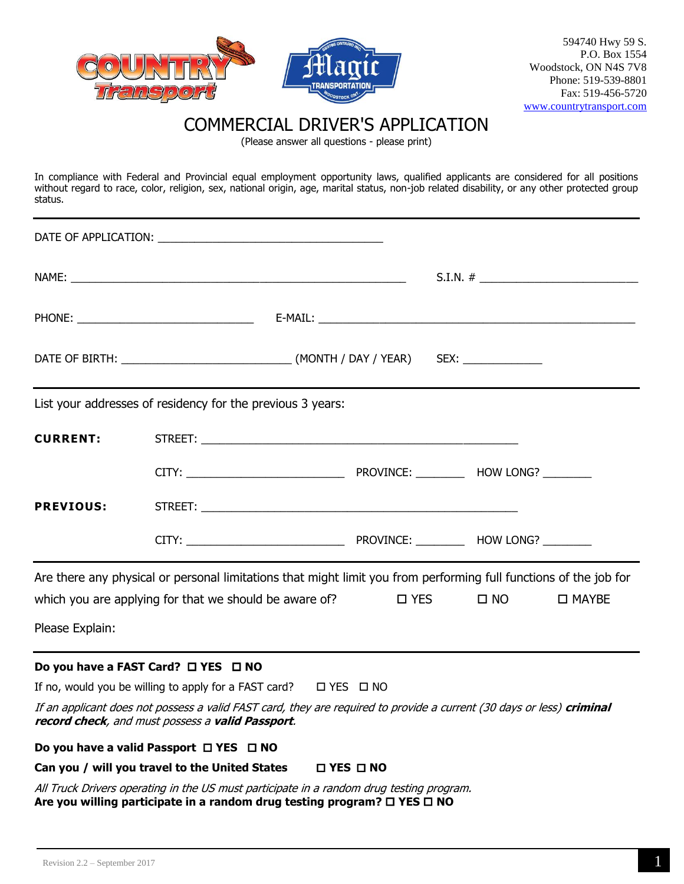

## COMMERCIAL DRIVER'S APPLICATION

(Please answer all questions - please print)

In compliance with Federal and Provincial equal employment opportunity laws, qualified applicants are considered for all positions without regard to race, color, religion, sex, national origin, age, marital status, non-job related disability, or any other protected group status.

|                  | List your addresses of residency for the previous 3 years:                                                                                                                |                      |  |         |
|------------------|---------------------------------------------------------------------------------------------------------------------------------------------------------------------------|----------------------|--|---------|
| <b>CURRENT:</b>  |                                                                                                                                                                           |                      |  |         |
|                  |                                                                                                                                                                           |                      |  |         |
| <b>PREVIOUS:</b> |                                                                                                                                                                           |                      |  |         |
|                  |                                                                                                                                                                           |                      |  |         |
|                  | Are there any physical or personal limitations that might limit you from performing full functions of the job for                                                         |                      |  |         |
|                  | which you are applying for that we should be aware of? $\Box$ YES $\Box$ NO                                                                                               |                      |  | □ MAYBE |
| Please Explain:  |                                                                                                                                                                           |                      |  |         |
|                  | Do you have a FAST Card? □ YES □ NO                                                                                                                                       |                      |  |         |
|                  | If no, would you be willing to apply for a FAST card? $\Box$ YES $\Box$ NO                                                                                                |                      |  |         |
|                  | If an applicant does not possess a valid FAST card, they are required to provide a current (30 days or less) criminal<br>record check, and must possess a valid Passport. |                      |  |         |
|                  | Do you have a valid Passport □ YES □ NO                                                                                                                                   |                      |  |         |
|                  | Can you / will you travel to the United States                                                                                                                            | $\Box$ YES $\Box$ NO |  |         |
|                  | All Truck Drivers operating in the US must participate in a random drug testing program.<br>Are you willing participate in a random drug testing program? □ YES □ NO      |                      |  |         |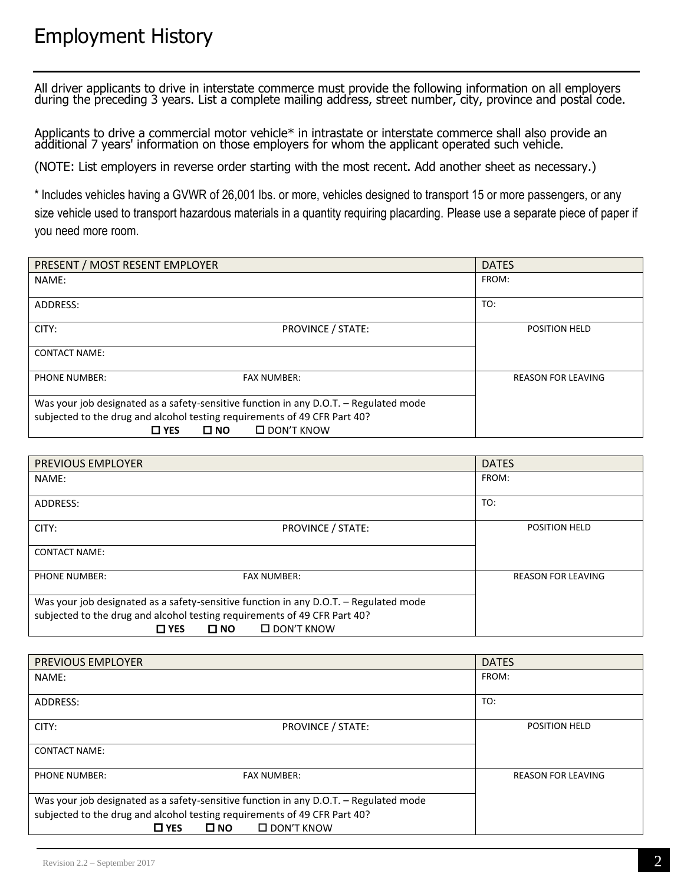# Employment History

All driver applicants to drive in interstate commerce must provide the following information on all employers during the preceding 3 years. List a complete mailing address, street number, city, province and postal code.

Applicants to drive a commercial motor vehicle\* in intrastate or interstate commerce shall also provide an additional 7 years' information on those employers for whom the applicant operated such vehicle.

(NOTE: List employers in reverse order starting with the most recent. Add another sheet as necessary.)

\* lncludes vehicles having a GVWR of 26,001 lbs. or more, vehicles designed to transport 15 or more passengers, or any size vehicle used to transport hazardous materials in a quantity requiring placarding. Please use a separate piece of paper if you need more room.

| PRESENT / MOST RESENT EMPLOYER |                                                                                       | <b>DATES</b>              |
|--------------------------------|---------------------------------------------------------------------------------------|---------------------------|
| NAME:                          |                                                                                       | FROM:                     |
|                                |                                                                                       |                           |
| ADDRESS:                       |                                                                                       | TO:                       |
|                                |                                                                                       |                           |
| CITY:                          | <b>PROVINCE / STATE:</b>                                                              | <b>POSITION HELD</b>      |
|                                |                                                                                       |                           |
| <b>CONTACT NAME:</b>           |                                                                                       |                           |
|                                |                                                                                       |                           |
| <b>PHONE NUMBER:</b>           | <b>FAX NUMBER:</b>                                                                    | <b>REASON FOR LEAVING</b> |
|                                |                                                                                       |                           |
|                                | Was your job designated as a safety-sensitive function in any D.O.T. - Regulated mode |                           |
|                                | subjected to the drug and alcohol testing requirements of 49 CFR Part 40?             |                           |
| $\square$ YES                  | $\square$ NO<br>$\Box$ DON'T KNOW                                                     |                           |
|                                |                                                                                       |                           |

| <b>PREVIOUS EMPLOYER</b>                                                  |                                                                                       | <b>DATES</b>              |
|---------------------------------------------------------------------------|---------------------------------------------------------------------------------------|---------------------------|
| NAME:                                                                     |                                                                                       | FROM:                     |
| ADDRESS:                                                                  |                                                                                       | TO:                       |
|                                                                           |                                                                                       |                           |
| CITY:                                                                     | <b>PROVINCE / STATE:</b>                                                              | <b>POSITION HELD</b>      |
| <b>CONTACT NAME:</b>                                                      |                                                                                       |                           |
| <b>PHONE NUMBER:</b>                                                      | <b>FAX NUMBER:</b>                                                                    | <b>REASON FOR LEAVING</b> |
|                                                                           | Was your job designated as a safety-sensitive function in any D.O.T. - Regulated mode |                           |
| subjected to the drug and alcohol testing requirements of 49 CFR Part 40? |                                                                                       |                           |
| $\square$ YES<br>$\square$ NO                                             | $\Box$ DON'T KNOW                                                                     |                           |

| <b>PREVIOUS EMPLOYER</b>                                                  |                                                                                       | <b>DATES</b>              |
|---------------------------------------------------------------------------|---------------------------------------------------------------------------------------|---------------------------|
| NAME:                                                                     |                                                                                       | FROM:                     |
|                                                                           |                                                                                       |                           |
| ADDRESS:                                                                  |                                                                                       | TO:                       |
|                                                                           |                                                                                       |                           |
| CITY:                                                                     | <b>PROVINCE / STATE:</b>                                                              | POSITION HELD             |
|                                                                           |                                                                                       |                           |
| <b>CONTACT NAME:</b>                                                      |                                                                                       |                           |
|                                                                           |                                                                                       |                           |
| <b>PHONE NUMBER:</b>                                                      | <b>FAX NUMBER:</b>                                                                    | <b>REASON FOR LEAVING</b> |
|                                                                           |                                                                                       |                           |
|                                                                           | Was your job designated as a safety-sensitive function in any D.O.T. - Regulated mode |                           |
| subjected to the drug and alcohol testing requirements of 49 CFR Part 40? |                                                                                       |                           |
| $\square$ YES                                                             | $\Box$ DON'T KNOW<br>$\square$ NO                                                     |                           |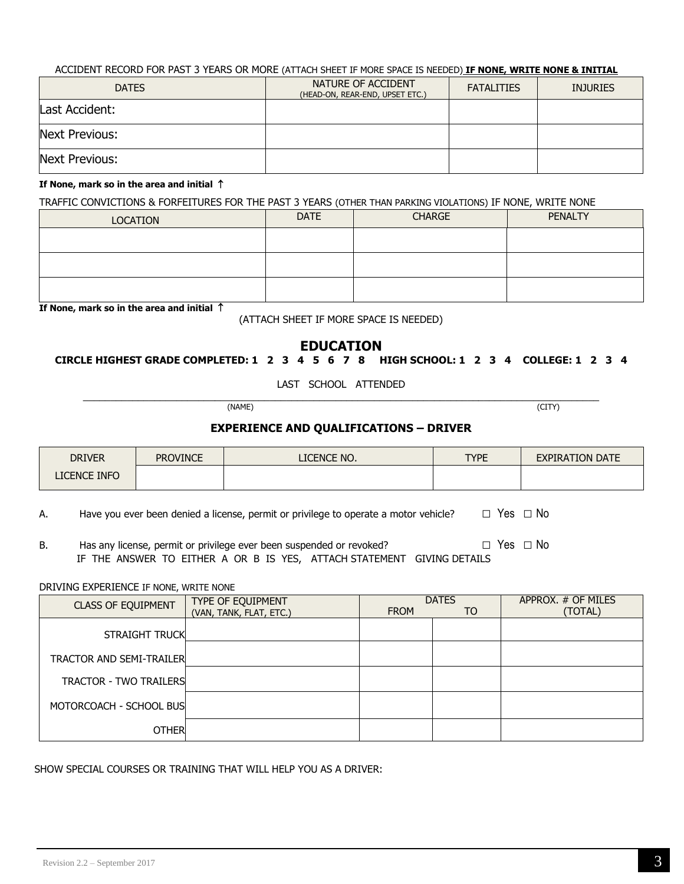#### ACCIDENT RECORD FOR PAST 3 YEARS OR MORE (ATTACH SHEET IF MORE SPACE IS NEEDED) **IF NONE, WRITE NONE & INITIAL**

| <b>DATES</b>   | NATURE OF ACCIDENT<br>(HEAD-ON, REAR-END, UPSET ETC.) | <b>FATALITIES</b> | <b>INJURIES</b> |
|----------------|-------------------------------------------------------|-------------------|-----------------|
| Last Accident: |                                                       |                   |                 |
| Next Previous: |                                                       |                   |                 |
| Next Previous: |                                                       |                   |                 |

#### **If None, mark so in the area and initial**

TRAFFIC CONVICTIONS & FORFEITURES FOR THE PAST 3 YEARS (OTHER THAN PARKING VIOLATIONS) IF NONE, WRITE NONE

| <b>LOCATION</b> | <b>DATE</b> | <b>CHARGE</b> | <b>PENALTY</b> |
|-----------------|-------------|---------------|----------------|
|                 |             |               |                |
|                 |             |               |                |
|                 |             |               |                |

**If None, mark so in the area and initial** 

(ATTACH SHEET IF MORE SPACE IS NEEDED)

#### **EDUCATION**

#### **CIRCLE HIGHEST GRADE COMPLETED: 1 2 3 4 5 6 7 8 HIGH SCHOOL: 1 2 3 4 COLLEGE: 1 2 3 4**

LAST SCHOOL ATTENDED

 $\_$  ,  $\_$  ,  $\_$  ,  $\_$  ,  $\_$  ,  $\_$  ,  $\_$  ,  $\_$  ,  $\_$  ,  $\_$  ,  $\_$  ,  $\_$  ,  $\_$  ,  $\_$  ,  $\_$  ,  $\_$  ,  $\_$  ,  $\_$  ,  $\_$  ,  $\_$  ,  $\_$  ,  $\_$  ,  $\_$  ,  $\_$  ,  $\_$  ,  $\_$  ,  $\_$  ,  $\_$  ,  $\_$  ,  $\_$  ,  $\_$  ,  $\_$  ,  $\_$  ,  $\_$  ,  $\_$  ,  $\_$  ,  $\_$  , (NAME) (CITY)

#### **EXPERIENCE AND QUALIFICATIONS – DRIVER**

| <b>DRIVER</b> | <b>PROVINCE</b> | LICENCE NO. | <b>TYPE</b> | <b>EXPIRATION DATE</b> |
|---------------|-----------------|-------------|-------------|------------------------|
| Licence Info  |                 |             |             |                        |

A. Have you ever been denied a license, permit or privilege to operate a motor vehicle?  $□$  Yes  $□$  No

B. Has any license, permit or privilege ever been suspended or revoked?  $\Box$  Yes  $\Box$  No IF THE ANSWER TO EITHER A OR B IS YES, ATTACH STATEMENT GIVING DETAILS

#### DRIVING EXPERIENCE IF NONE, WRITE NONE

| <b>CLASS OF EQUIPMENT</b>       | TYPE OF EQUIPMENT<br>(VAN, TANK, FLAT, ETC.) | <b>DATES</b><br>TO<br><b>FROM</b> |  | APPROX. # OF MILES<br>(TOTAL) |
|---------------------------------|----------------------------------------------|-----------------------------------|--|-------------------------------|
| <b>STRAIGHT TRUCK</b>           |                                              |                                   |  |                               |
| <b>TRACTOR AND SEMI-TRAILER</b> |                                              |                                   |  |                               |
| <b>TRACTOR - TWO TRAILERS</b>   |                                              |                                   |  |                               |
| MOTORCOACH - SCHOOL BUS         |                                              |                                   |  |                               |
| <b>OTHER</b>                    |                                              |                                   |  |                               |

SHOW SPECIAL COURSES OR TRAINING THAT WILL HELP YOU AS A DRIVER: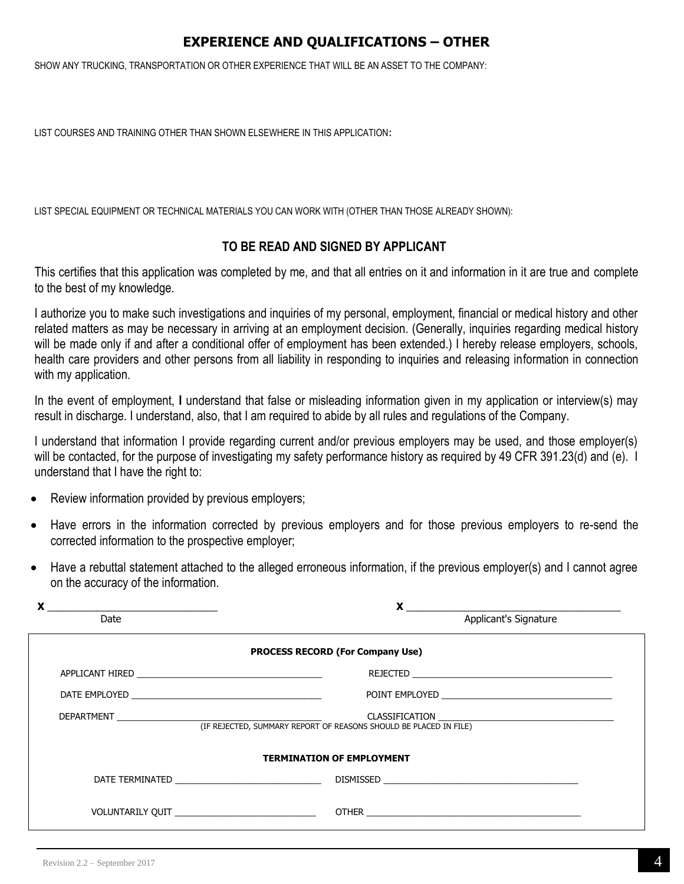### **EXPERIENCE AND QUALIFICATIONS – OTHER**

SHOW ANY TRUCKING, TRANSPORTATION OR OTHER EXPERIENCE THAT WILL BE AN ASSET TO THE COMPANY:

LIST COURSES AND TRAINING OTHER THAN SHOWN ELSEWHERE IN THIS APPLICATION:

LIST SPECIAL EQUIPMENT OR TECHNICAL MATERIALS YOU CAN WORK WITH (OTHER THAN THOSE ALREADY SHOWN):

#### **TO BE READ AND SIGNED BY APPLICANT**

This certifies that this application was completed by me, and that all entries on it and information in it are true and complete to the best of my knowledge.

I authorize you to make such investigations and inquiries of my personal, employment, financial or medical history and other related matters as may be necessary in arriving at an employment decision. (Generally, inquiries regarding medical history will be made only if and after a conditional offer of employment has been extended.) I hereby release employers, schools, health care providers and other persons from all liability in responding to inquiries and releasing information in connection with my application.

In the event of employment, **I** understand that false or misleading information given in my application or interview(s) may result in discharge. I understand, also, that I am required to abide by all rules and regulations of the Company.

I understand that information I provide regarding current and/or previous employers may be used, and those employer(s) will be contacted, for the purpose of investigating my safety performance history as required by 49 CFR 391.23(d) and (e). I understand that I have the right to:

- Review information provided by previous employers;
- Have errors in the information corrected by previous employers and for those previous employers to re-send the corrected information to the prospective employer;
- Have a rebuttal statement attached to the alleged erroneous information, if the previous employer(s) and I cannot agree on the accuracy of the information.

| Applicant's Signature                                                                                                                                                                                                                |
|--------------------------------------------------------------------------------------------------------------------------------------------------------------------------------------------------------------------------------------|
| <b>PROCESS RECORD (For Company Use)</b>                                                                                                                                                                                              |
|                                                                                                                                                                                                                                      |
|                                                                                                                                                                                                                                      |
| CLASSIFICATION NATION<br>(IF REJECTED, SUMMARY REPORT OF REASONS SHOULD BE PLACED IN FILE)                                                                                                                                           |
| <b>TERMINATION OF EMPLOYMENT</b>                                                                                                                                                                                                     |
| DISMISSED DATE TERMINATED <b>And the Contract of Contract Contract Contract Contract Contract Contract Contract Contract Contract Contract Contract Contract Contract Contract Contract Contract Contract Contract Contract Cont</b> |
| VOLUNTARILY QUIT                                                                                                                                                                                                                     |
|                                                                                                                                                                                                                                      |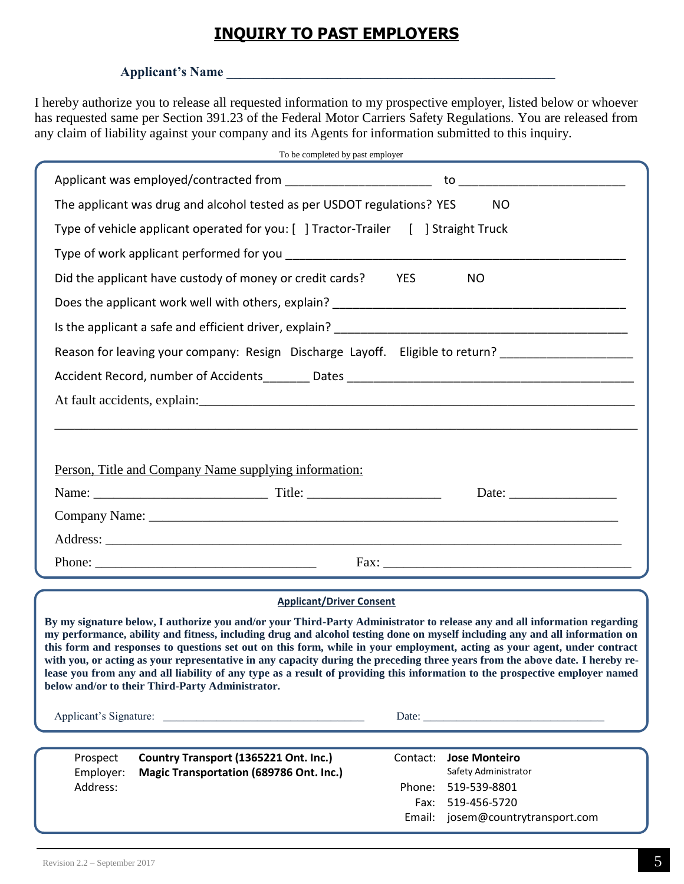### **INQUIRY TO PAST EMPLOYERS**

### **Applicant's Name \_\_\_\_\_\_\_\_\_\_\_\_\_\_\_\_\_\_\_\_\_\_\_\_\_\_\_\_\_\_\_\_\_\_\_\_\_\_\_\_\_\_\_\_\_\_\_\_\_**

I hereby authorize you to release all requested information to my prospective employer, listed below or whoever has requested same per Section 391.23 of the Federal Motor Carriers Safety Regulations. You are released from any claim of liability against your company and its Agents for information submitted to this inquiry.

| To be completed by past employer                                                                                                                                                                                               |  |  |  |  |
|--------------------------------------------------------------------------------------------------------------------------------------------------------------------------------------------------------------------------------|--|--|--|--|
|                                                                                                                                                                                                                                |  |  |  |  |
| The applicant was drug and alcohol tested as per USDOT regulations? YES<br><b>NO</b>                                                                                                                                           |  |  |  |  |
| Type of vehicle applicant operated for you: [ ] Tractor-Trailer [ ] Straight Truck                                                                                                                                             |  |  |  |  |
|                                                                                                                                                                                                                                |  |  |  |  |
| Did the applicant have custody of money or credit cards?<br><b>YES</b><br>NO                                                                                                                                                   |  |  |  |  |
|                                                                                                                                                                                                                                |  |  |  |  |
|                                                                                                                                                                                                                                |  |  |  |  |
| Reason for leaving your company: Resign Discharge Layoff. Eligible to return? _____________________                                                                                                                            |  |  |  |  |
|                                                                                                                                                                                                                                |  |  |  |  |
| At fault accidents, explain: example and a set of the set of the set of the set of the set of the set of the set of the set of the set of the set of the set of the set of the set of the set of the set of the set of the set |  |  |  |  |
|                                                                                                                                                                                                                                |  |  |  |  |
|                                                                                                                                                                                                                                |  |  |  |  |
| Person, Title and Company Name supplying information:                                                                                                                                                                          |  |  |  |  |
|                                                                                                                                                                                                                                |  |  |  |  |
|                                                                                                                                                                                                                                |  |  |  |  |
|                                                                                                                                                                                                                                |  |  |  |  |
| Phone: $\frac{1}{1}$                                                                                                                                                                                                           |  |  |  |  |
|                                                                                                                                                                                                                                |  |  |  |  |
| <b>Applicant/Driver Consent</b>                                                                                                                                                                                                |  |  |  |  |

**By my signature below, I authorize you and/or your Third-Party Administrator to release any and all information regarding my performance, ability and fitness, including drug and alcohol testing done on myself including any and all information on this form and responses to questions set out on this form, while in your employment, acting as your agent, under contract with you, or acting as your representative in any capacity during the preceding three years from the above date. I hereby release you from any and all liability of any type as a result of providing this information to the prospective employer named below and/or to their Third-Party Administrator.**

Applicant's Signature: \_\_\_\_\_\_\_\_\_\_\_\_\_\_\_\_\_\_\_\_\_\_\_\_\_\_\_\_\_\_ Date: \_\_\_\_\_\_\_\_\_\_\_\_\_\_\_\_\_\_\_\_\_\_\_\_\_\_\_

| Prospect  | Country Transport (1365221 Ont. Inc.)   | Contact: Jose Monteiro            |
|-----------|-----------------------------------------|-----------------------------------|
| Employer: | Magic Transportation (689786 Ont. Inc.) | Safety Administrator              |
| Address:  |                                         | Phone: 519-539-8801               |
|           |                                         | Fax: 519-456-5720                 |
|           |                                         | Email: josem@countrytransport.com |
|           |                                         |                                   |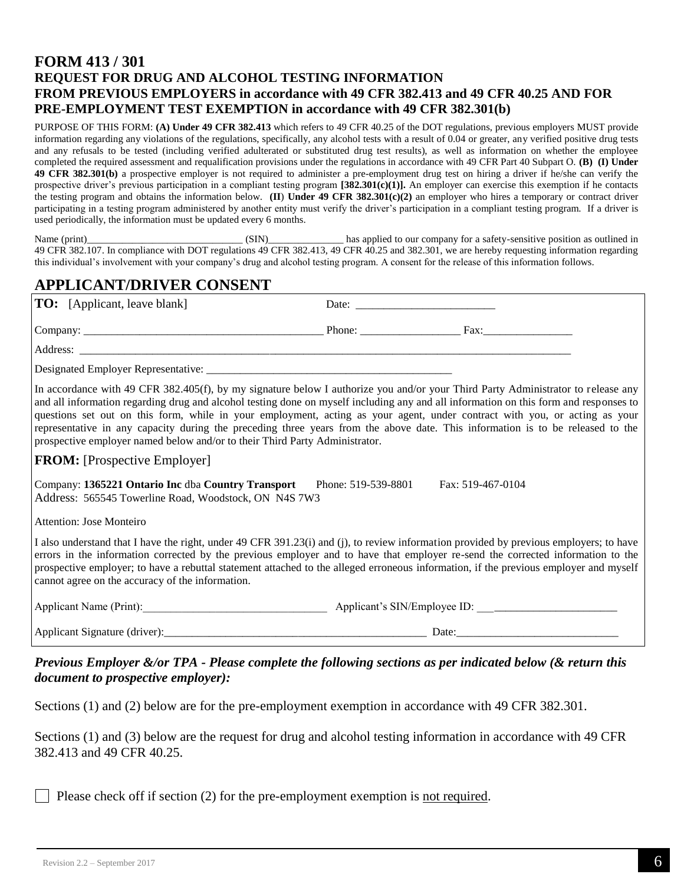#### **FORM 413 / 301 REQUEST FOR DRUG AND ALCOHOL TESTING INFORMATION FROM PREVIOUS EMPLOYERS in accordance with 49 CFR 382.413 and 49 CFR 40.25 AND FOR PRE-EMPLOYMENT TEST EXEMPTION in accordance with 49 CFR 382.301(b)**

PURPOSE OF THIS FORM: **(A) Under 49 CFR 382.413** which refers to 49 CFR 40.25 of the DOT regulations, previous employers MUST provide information regarding any violations of the regulations, specifically, any alcohol tests with a result of 0.04 or greater, any verified positive drug tests and any refusals to be tested (including verified adulterated or substituted drug test results), as well as information on whether the employee completed the required assessment and requalification provisions under the regulations in accordance with 49 CFR Part 40 Subpart O. **(B) (I) Under 49 CFR 382.301(b)** a prospective employer is not required to administer a pre-employment drug test on hiring a driver if he/she can verify the prospective driver's previous participation in a compliant testing program **[382.301(c)(1)].** An employer can exercise this exemption if he contacts the testing program and obtains the information below. **(II**) **Under 49 CFR 382.301(c)(2)** an employer who hires a temporary or contract driver participating in a testing program administered by another entity must verify the driver's participation in a compliant testing program. If a driver is used periodically, the information must be updated every 6 months.

Name (print)\_\_\_\_\_\_\_\_\_\_\_\_\_\_\_\_\_\_\_\_\_\_\_\_\_\_\_\_\_\_\_ (SIN)\_\_\_\_\_\_\_\_\_\_\_\_\_\_\_ has applied to our company for a safety-sensitive position as outlined in 49 CFR 382.107. In compliance with DOT regulations 49 CFR 382.413, 49 CFR 40.25 and 382.301, we are hereby requesting information regarding this individual's involvement with your company's drug and alcohol testing program. A consent for the release of this information follows.

### **APPLICANT/DRIVER CONSENT**

| <b>TO:</b> [Applicant, leave blank]                                                                                                                                                                                                                                                                                                                                                                                                                                                                                                                                                                                      |  |  |  |  |
|--------------------------------------------------------------------------------------------------------------------------------------------------------------------------------------------------------------------------------------------------------------------------------------------------------------------------------------------------------------------------------------------------------------------------------------------------------------------------------------------------------------------------------------------------------------------------------------------------------------------------|--|--|--|--|
|                                                                                                                                                                                                                                                                                                                                                                                                                                                                                                                                                                                                                          |  |  |  |  |
|                                                                                                                                                                                                                                                                                                                                                                                                                                                                                                                                                                                                                          |  |  |  |  |
|                                                                                                                                                                                                                                                                                                                                                                                                                                                                                                                                                                                                                          |  |  |  |  |
| In accordance with 49 CFR 382.405(f), by my signature below I authorize you and/or your Third Party Administrator to release any<br>and all information regarding drug and alcohol testing done on myself including any and all information on this form and responses to<br>questions set out on this form, while in your employment, acting as your agent, under contract with you, or acting as your<br>representative in any capacity during the preceding three years from the above date. This information is to be released to the<br>prospective employer named below and/or to their Third Party Administrator. |  |  |  |  |
| <b>FROM:</b> [Prospective Employer]                                                                                                                                                                                                                                                                                                                                                                                                                                                                                                                                                                                      |  |  |  |  |
| Company: 1365221 Ontario Inc dba Country Transport Phone: 519-539-8801 Fax: 519-467-0104<br>Address: 565545 Towerline Road, Woodstock, ON N4S 7W3                                                                                                                                                                                                                                                                                                                                                                                                                                                                        |  |  |  |  |
| Attention: Jose Monteiro                                                                                                                                                                                                                                                                                                                                                                                                                                                                                                                                                                                                 |  |  |  |  |
| I also understand that I have the right, under 49 CFR 391.23(i) and (j), to review information provided by previous employers; to have<br>errors in the information corrected by the previous employer and to have that employer re-send the corrected information to the<br>prospective employer; to have a rebuttal statement attached to the alleged erroneous information, if the previous employer and myself<br>cannot agree on the accuracy of the information.                                                                                                                                                   |  |  |  |  |

| Applicant Name (Print):       | Applicant's SIN/Employee ID: |  |
|-------------------------------|------------------------------|--|
| Applicant Signature (driver): | Date                         |  |

#### *Previous Employer &/or TPA - Please complete the following sections as per indicated below (& return this document to prospective employer):*

Sections (1) and (2) below are for the pre-employment exemption in accordance with 49 CFR 382.301.

Sections (1) and (3) below are the request for drug and alcohol testing information in accordance with 49 CFR 382.413 and 49 CFR 40.25.

Please check off if section  $(2)$  for the pre-employment exemption is not required.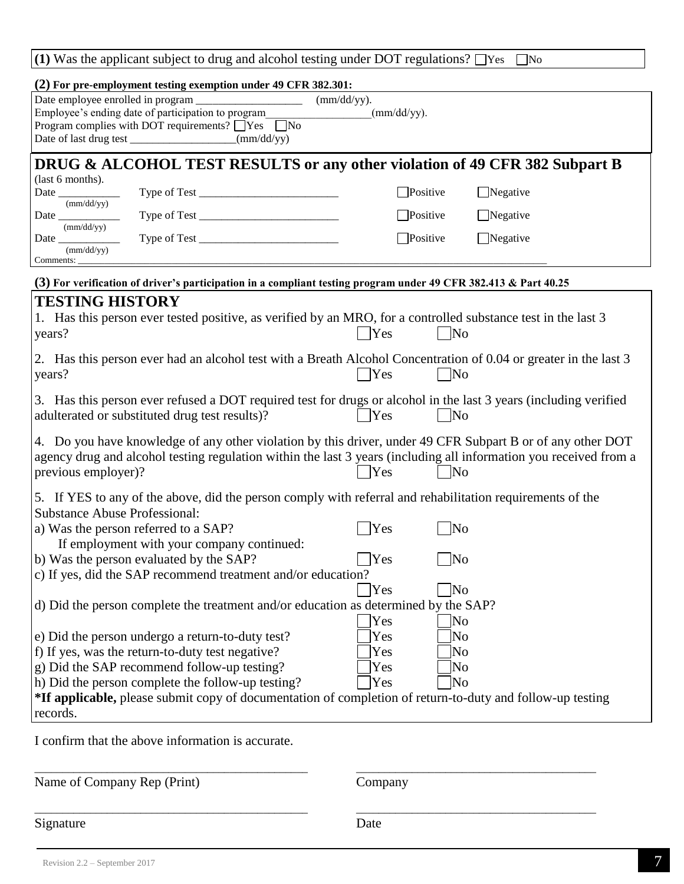| (1) Was the applicant subject to drug and alcohol testing under DOT regulations? $\Box$ Yes $\Box$ No                                                                                                                                                                                                                                                                                                                                                                       |                 |                     |                 |  |  |
|-----------------------------------------------------------------------------------------------------------------------------------------------------------------------------------------------------------------------------------------------------------------------------------------------------------------------------------------------------------------------------------------------------------------------------------------------------------------------------|-----------------|---------------------|-----------------|--|--|
| (2) For pre-employment testing exemption under 49 CFR 382.301:                                                                                                                                                                                                                                                                                                                                                                                                              |                 |                     |                 |  |  |
| $(mm/dd/yy)$ .<br>Employee's ending date of participation to program<br>Program complies with DOT requirements? $\Box$ Yes<br>$\Box$ No<br>Date of last drug test ______________________(mm/dd/yy)                                                                                                                                                                                                                                                                          | $(mm/dd/yy)$ .  |                     |                 |  |  |
| DRUG & ALCOHOL TEST RESULTS or any other violation of 49 CFR 382 Subpart B                                                                                                                                                                                                                                                                                                                                                                                                  |                 |                     |                 |  |  |
| (last 6 months).<br>Date $\_\_$                                                                                                                                                                                                                                                                                                                                                                                                                                             | Positive        |                     | $\Box$ Negative |  |  |
| (mm/dd/yy)                                                                                                                                                                                                                                                                                                                                                                                                                                                                  | Positive        |                     | $\Box$ Negative |  |  |
| Date $\frac{1}{\text{mm}/\text{dd}/\text{yy}}$                                                                                                                                                                                                                                                                                                                                                                                                                              |                 |                     |                 |  |  |
| Date $\frac{1}{\frac{(\text{mm}/\text{dd}/\text{yy})}{\frac{(\text{mm}/\text{dd}/\text{yy})}{\frac{(\text{mm}/\text{dd}/\text{yy})}{\frac{(\text{md}/\text{dy}/\text{gy})}{\frac{(\text{md}/\text{dy}/\text{gy})}{\frac{(\text{md}/\text{dy}/\text{gy})}{\frac{(\text{md}/\text{dy}/\text{gy})}{\frac{(\text{md}/\text{dy}/\text{gy})}{\frac{(\text{md}/\text{dy}/\text{gy})}{\frac{(\text{md}/\text{dy}/\text{gy})}{\frac{(\text{md}/\text{dy}/\text{gy})}{\$<br>Comments: | $\Box$ Positive |                     | $\Box$ Negative |  |  |
| (3) For verification of driver's participation in a compliant testing program under 49 CFR 382.413 & Part 40.25                                                                                                                                                                                                                                                                                                                                                             |                 |                     |                 |  |  |
| <b>TESTING HISTORY</b>                                                                                                                                                                                                                                                                                                                                                                                                                                                      |                 |                     |                 |  |  |
| 1. Has this person ever tested positive, as verified by an MRO, for a controlled substance test in the last 3<br>years?                                                                                                                                                                                                                                                                                                                                                     | <b>Yes</b>      | $\overline{\rm No}$ |                 |  |  |
| 2. Has this person ever had an alcohol test with a Breath Alcohol Concentration of 0.04 or greater in the last 3<br>years?                                                                                                                                                                                                                                                                                                                                                  | <b>Yes</b>      | $\overline{\rm No}$ |                 |  |  |
| 3. Has this person ever refused a DOT required test for drugs or alcohol in the last 3 years (including verified<br>adulterated or substituted drug test results)?                                                                                                                                                                                                                                                                                                          | Yes             | $\overline{\rm No}$ |                 |  |  |
| 4. Do you have knowledge of any other violation by this driver, under 49 CFR Subpart B or of any other DOT<br>agency drug and alcohol testing regulation within the last 3 years (including all information you received from a<br>previous employer)?<br><b>Yes</b><br>$\overline{\text{No}}$                                                                                                                                                                              |                 |                     |                 |  |  |
| 5. If YES to any of the above, did the person comply with referral and rehabilitation requirements of the<br><b>Substance Abuse Professional:</b>                                                                                                                                                                                                                                                                                                                           |                 |                     |                 |  |  |
| a) Was the person referred to a SAP?                                                                                                                                                                                                                                                                                                                                                                                                                                        | <b>Yes</b>      | $\overline{\rm No}$ |                 |  |  |
| If employment with your company continued:<br>b) Was the person evaluated by the SAP?                                                                                                                                                                                                                                                                                                                                                                                       | Yes             | No                  |                 |  |  |
| c) If yes, did the SAP recommend treatment and/or education?                                                                                                                                                                                                                                                                                                                                                                                                                |                 |                     |                 |  |  |
|                                                                                                                                                                                                                                                                                                                                                                                                                                                                             | Yes             | $\overline{\rm No}$ |                 |  |  |
| d) Did the person complete the treatment and/or education as determined by the SAP?                                                                                                                                                                                                                                                                                                                                                                                         | Yes             | No                  |                 |  |  |
| e) Did the person undergo a return-to-duty test?                                                                                                                                                                                                                                                                                                                                                                                                                            | Yes             | No                  |                 |  |  |
| f) If yes, was the return-to-duty test negative?                                                                                                                                                                                                                                                                                                                                                                                                                            | Yes             | No                  |                 |  |  |
| g) Did the SAP recommend follow-up testing?                                                                                                                                                                                                                                                                                                                                                                                                                                 | Yes             | No                  |                 |  |  |
| h) Did the person complete the follow-up testing?                                                                                                                                                                                                                                                                                                                                                                                                                           | Yes             | No                  |                 |  |  |
| *If applicable, please submit copy of documentation of completion of return-to-duty and follow-up testing<br>records.                                                                                                                                                                                                                                                                                                                                                       |                 |                     |                 |  |  |
| I confirm that the above information is accurate.                                                                                                                                                                                                                                                                                                                                                                                                                           |                 |                     |                 |  |  |
|                                                                                                                                                                                                                                                                                                                                                                                                                                                                             |                 |                     |                 |  |  |

Name of Company Rep (Print) Company

Signature Date

 $\_$  ,  $\_$  ,  $\_$  ,  $\_$  ,  $\_$  ,  $\_$  ,  $\_$  ,  $\_$  ,  $\_$  ,  $\_$  ,  $\_$  ,  $\_$  ,  $\_$  ,  $\_$  ,  $\_$  ,  $\_$  ,  $\_$  ,  $\_$  ,  $\_$  ,  $\_$  ,  $\_$  ,  $\_$  ,  $\_$  ,  $\_$  ,  $\_$  ,  $\_$  ,  $\_$  ,  $\_$  ,  $\_$  ,  $\_$  ,  $\_$  ,  $\_$  ,  $\_$  ,  $\_$  ,  $\_$  ,  $\_$  ,  $\_$  ,